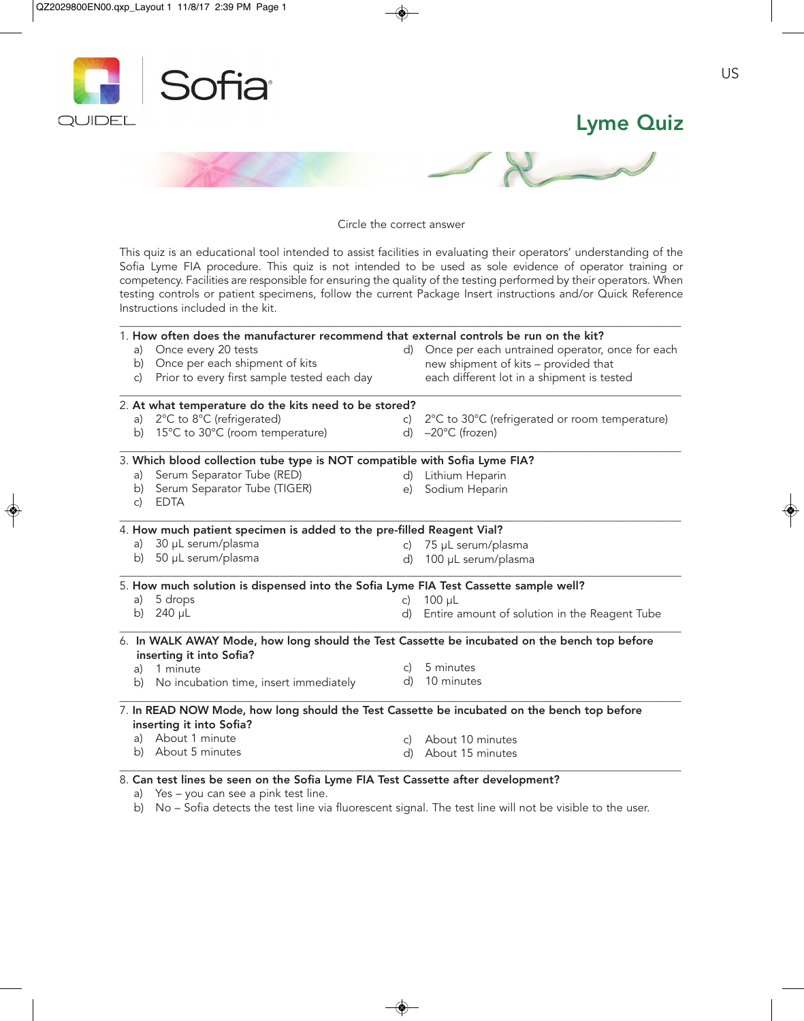

Circle the correct answer

This quiz is an educational tool intended to assist facilities in evaluating their operators' understanding of the Sofia Lyme FIA procedure. This quiz is not intended to be used as sole evidence of operator training or competency. Facilities are responsible for ensuring the quality of the testing performed by their operators. When testing controls or patient specimens, follow the current Package Insert instructions and/or Quick Reference Instructions included in the kit.

|                                                                                  | 1. How often does the manufacturer recommend that external controls be run on the kit?                                   |              |                                                 |  |
|----------------------------------------------------------------------------------|--------------------------------------------------------------------------------------------------------------------------|--------------|-------------------------------------------------|--|
| a)                                                                               | Once every 20 tests                                                                                                      | d)           | Once per each untrained operator, once for each |  |
| b)                                                                               | Once per each shipment of kits                                                                                           |              | new shipment of kits - provided that            |  |
| c)                                                                               | Prior to every first sample tested each day                                                                              |              | each different lot in a shipment is tested      |  |
|                                                                                  | 2. At what temperature do the kits need to be stored?                                                                    |              |                                                 |  |
| a)                                                                               | 2°C to 8°C (refrigerated)                                                                                                | $\mathsf{C}$ | 2°C to 30°C (refrigerated or room temperature)  |  |
|                                                                                  | b) 15°C to 30°C (room temperature)                                                                                       | d)           | $-20^{\circ}$ C (frozen)                        |  |
|                                                                                  | 3. Which blood collection tube type is NOT compatible with Sofia Lyme FIA?                                               |              |                                                 |  |
| a)                                                                               | Serum Separator Tube (RED)                                                                                               |              | d) Lithium Heparin                              |  |
| b)<br>c)                                                                         | Serum Separator Tube (TIGER)<br><b>EDTA</b>                                                                              | e)           | Sodium Heparin                                  |  |
|                                                                                  | 4. How much patient specimen is added to the pre-filled Reagent Vial?                                                    |              |                                                 |  |
|                                                                                  | a) 30 µL serum/plasma                                                                                                    | $\mathsf{C}$ | 75 µL serum/plasma                              |  |
|                                                                                  | b) 50 µL serum/plasma                                                                                                    | d)           | 100 µL serum/plasma                             |  |
|                                                                                  | 5. How much solution is dispensed into the Sofia Lyme FIA Test Cassette sample well?                                     |              |                                                 |  |
| a)                                                                               | 5 drops                                                                                                                  | $\mathsf{C}$ | $100 \mu L$                                     |  |
|                                                                                  | b) $240 \mu L$                                                                                                           | d)           | Entire amount of solution in the Reagent Tube   |  |
|                                                                                  | 6. In WALK AWAY Mode, how long should the Test Cassette be incubated on the bench top before<br>inserting it into Sofia? |              |                                                 |  |
|                                                                                  | a) 1 minute                                                                                                              | $\mathsf{C}$ | 5 minutes                                       |  |
| b)                                                                               | No incubation time, insert immediately                                                                                   |              | d) 10 minutes                                   |  |
|                                                                                  | 7. In READ NOW Mode, how long should the Test Cassette be incubated on the bench top before                              |              |                                                 |  |
|                                                                                  | inserting it into Sofia?<br>a) About 1 minute                                                                            |              |                                                 |  |
|                                                                                  | b) About 5 minutes                                                                                                       |              | c) About 10 minutes                             |  |
|                                                                                  |                                                                                                                          | d)           | About 15 minutes                                |  |
| 8. Can test lines be seen on the Sofia Lyme FIA Test Cassette after development? |                                                                                                                          |              |                                                 |  |

a) Yes – you can see a pink test line.

b) No – Sofia detects the test line via fluorescent signal. The test line will not be visible to the user.